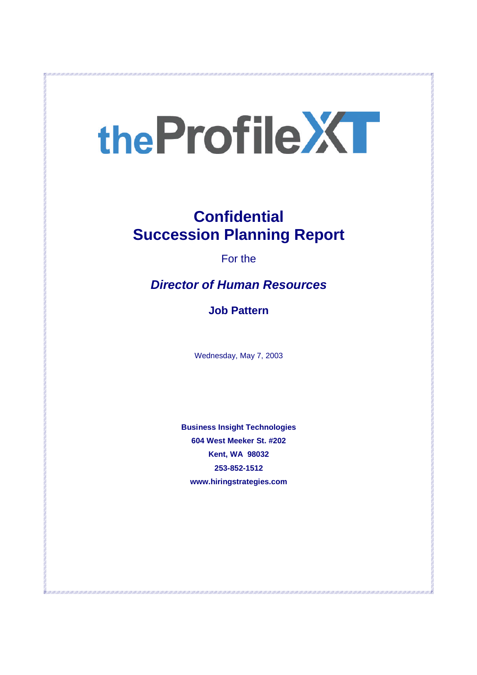# the Profile XT

# **Confidential Succession Planning Report**

For the

# *Director of Human Resources*

**Job Pattern**

Wednesday, May 7, 2003

**Business Insight Technologies 604 West Meeker St. #202 Kent, WA 98032 253-852-1512 www.hiringstrategies.com**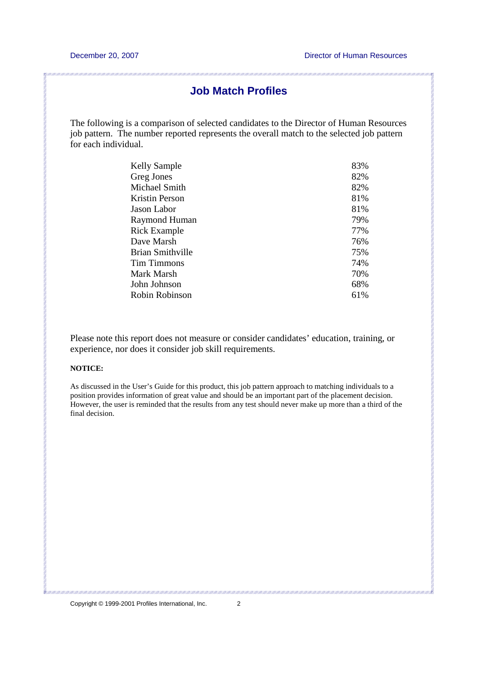### **Job Match Profiles**

The following is a comparison of selected candidates to the Director of Human Resources job pattern. The number reported represents the overall match to the selected job pattern for each individual.

| <b>Kelly Sample</b>   | 83% |
|-----------------------|-----|
| Greg Jones            | 82% |
| Michael Smith         | 82% |
| <b>Kristin Person</b> | 81% |
| Jason Labor           | 81% |
| Raymond Human         | 79% |
| <b>Rick Example</b>   | 77% |
| Dave Marsh            | 76% |
| Brian Smithville      | 75% |
| Tim Timmons           | 74% |
| Mark Marsh            | 70% |
| John Johnson          | 68% |
| Robin Robinson        | 61% |

Please note this report does not measure or consider candidates' education, training, or experience, nor does it consider job skill requirements.

#### **NOTICE:**

As discussed in the User's Guide for this product, this job pattern approach to matching individuals to a position provides information of great value and should be an important part of the placement decision. However, the user is reminded that the results from any test should never make up more than a third of the final decision.

.<br>Alle collecto di le collecto di collecto di collecto di le collecto di le collecto di le collecto di le collec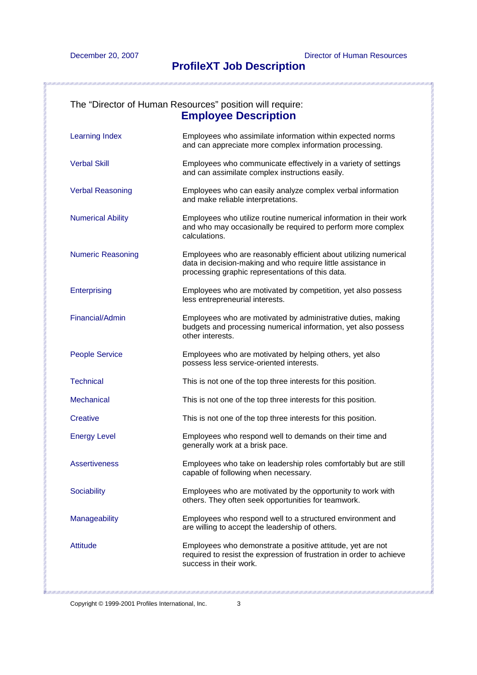# **ProfileXT Job Description**

|                          | The "Director of Human Resources" position will require:<br><b>Employee Description</b>                                                                                              |
|--------------------------|--------------------------------------------------------------------------------------------------------------------------------------------------------------------------------------|
| <b>Learning Index</b>    | Employees who assimilate information within expected norms<br>and can appreciate more complex information processing.                                                                |
| <b>Verbal Skill</b>      | Employees who communicate effectively in a variety of settings<br>and can assimilate complex instructions easily.                                                                    |
| <b>Verbal Reasoning</b>  | Employees who can easily analyze complex verbal information<br>and make reliable interpretations.                                                                                    |
| <b>Numerical Ability</b> | Employees who utilize routine numerical information in their work<br>and who may occasionally be required to perform more complex<br>calculations.                                   |
| <b>Numeric Reasoning</b> | Employees who are reasonably efficient about utilizing numerical<br>data in decision-making and who require little assistance in<br>processing graphic representations of this data. |
| Enterprising             | Employees who are motivated by competition, yet also possess<br>less entrepreneurial interests.                                                                                      |
| Financial/Admin          | Employees who are motivated by administrative duties, making<br>budgets and processing numerical information, yet also possess<br>other interests.                                   |
| <b>People Service</b>    | Employees who are motivated by helping others, yet also<br>possess less service-oriented interests.                                                                                  |
| <b>Technical</b>         | This is not one of the top three interests for this position.                                                                                                                        |
| <b>Mechanical</b>        | This is not one of the top three interests for this position.                                                                                                                        |
| Creative                 | This is not one of the top three interests for this position.                                                                                                                        |
| <b>Energy Level</b>      | Employees who respond well to demands on their time and<br>generally work at a brisk pace.                                                                                           |
| <b>Assertiveness</b>     | Employees who take on leadership roles comfortably but are still<br>capable of following when necessary.                                                                             |
| Sociability              | Employees who are motivated by the opportunity to work with<br>others. They often seek opportunities for teamwork.                                                                   |
| Manageability            | Employees who respond well to a structured environment and<br>are willing to accept the leadership of others.                                                                        |
| <b>Attitude</b>          | Employees who demonstrate a positive attitude, yet are not<br>required to resist the expression of frustration in order to achieve<br>success in their work.                         |

<u> 1921 - 1933 - 1933 - 1934 - 1934 - 1934 - 1935 - 1934 - 1934 - 1935 - 1934 - 1935 - 1936 - 1937 - 1937 - 1937 - 1937 - 1938 - 1938 - 1938 - 1938 - 1938 - 1938 - 1938 - 1938 - 1938 - 193</u>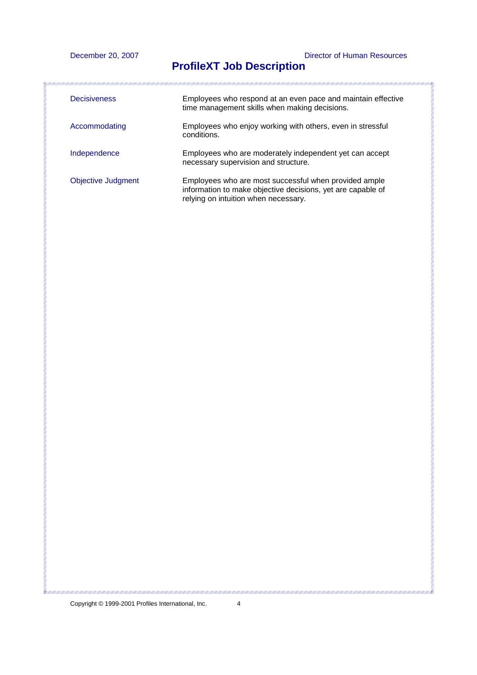December 20, 2007 Director of Human Resources

# **ProfileXT Job Description**

| <b>Decisiveness</b>       | Employees who respond at an even pace and maintain effective<br>time management skills when making decisions.                                                |
|---------------------------|--------------------------------------------------------------------------------------------------------------------------------------------------------------|
| Accommodating             | Employees who enjoy working with others, even in stressful<br>conditions.                                                                                    |
| Independence              | Employees who are moderately independent yet can accept<br>necessary supervision and structure.                                                              |
| <b>Objective Judgment</b> | Employees who are most successful when provided ample<br>information to make objective decisions, yet are capable of<br>relying on intuition when necessary. |

Copyright © 1999-2001 Profiles International, Inc. 4